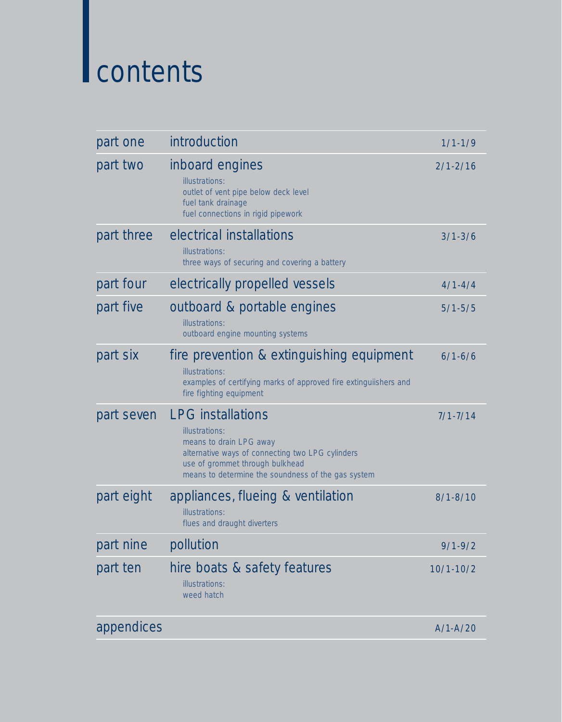# contents

| part one   | introduction                                                                                                                                                                                                       | $1/1 - 1/9$   |
|------------|--------------------------------------------------------------------------------------------------------------------------------------------------------------------------------------------------------------------|---------------|
| part two   | inboard engines<br>illustrations:<br>outlet of vent pipe below deck level<br>fuel tank drainage<br>fuel connections in rigid pipework                                                                              | $2/1 - 2/16$  |
| part three | electrical installations<br>illustrations:<br>three ways of securing and covering a battery                                                                                                                        | $3/1 - 3/6$   |
| part four  | electrically propelled vessels                                                                                                                                                                                     | $4/1 - 4/4$   |
| part five  | outboard & portable engines<br>illustrations:<br>outboard engine mounting systems                                                                                                                                  | $5/1 - 5/5$   |
| part six   | fire prevention & extinguishing equipment<br>illustrations:<br>examples of certifying marks of approved fire extinguiishers and<br>fire fighting equipment                                                         | $6/1 - 6/6$   |
| part seven | <b>LPG</b> installations<br>illustrations:<br>means to drain LPG away<br>alternative ways of connecting two LPG cylinders<br>use of grommet through bulkhead<br>means to determine the soundness of the gas system | $7/1 - 7/14$  |
| part eight | appliances, flueing & ventilation<br>illustrations:<br>flues and draught diverters                                                                                                                                 | $8/1 - 8/10$  |
| part nine  | pollution                                                                                                                                                                                                          | $9/1 - 9/2$   |
| part ten   | hire boats & safety features<br>illustrations:<br>weed hatch                                                                                                                                                       | $10/1 - 10/2$ |
| appendices |                                                                                                                                                                                                                    | $A/1-A/20$    |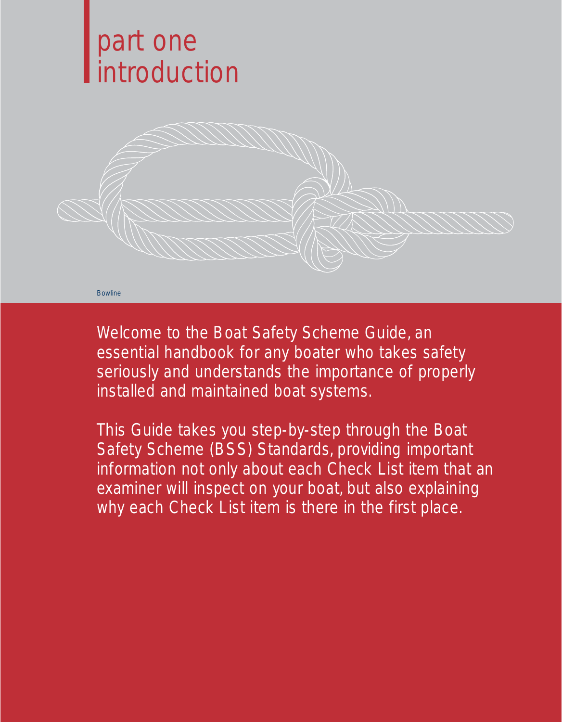# part one introduction



Welcome to the Boat Safety Scheme Guide, an essential handbook for any boater who takes safety seriously and understands the importance of properly installed and maintained boat systems.

This Guide takes you step-by-step through the Boat Safety Scheme (BSS) Standards, providing important information not only about each Check List item that an examiner will inspect on your boat, but also explaining why each Check List item is there in the first place.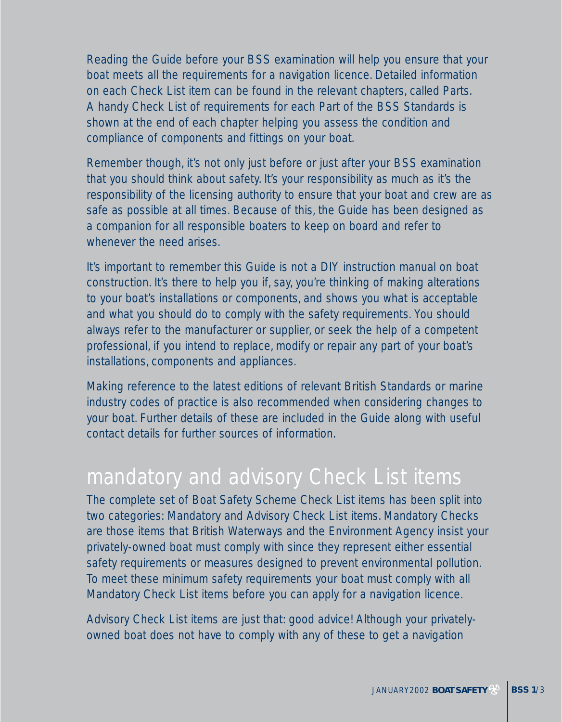Reading the Guide before your BSS examination will help you ensure that your boat meets all the requirements for a navigation licence. Detailed information on each Check List item can be found in the relevant chapters, called Parts. A handy Check List of requirements for each Part of the BSS Standards is shown at the end of each chapter helping you assess the condition and compliance of components and fittings on your boat.

Remember though, it's not only just before or just after your BSS examination that you should think about safety. It's your responsibility as much as it's the responsibility of the licensing authority to ensure that your boat and crew are as safe as possible at all times. Because of this, the Guide has been designed as a companion for all responsible boaters to keep on board and refer to whenever the need arises.

It's important to remember this Guide is not a DIY instruction manual on boat construction. It's there to help you if, say, you're thinking of making alterations to your boat's installations or components, and shows you what is acceptable and what you should do to comply with the safety requirements. You should always refer to the manufacturer or supplier, or seek the help of a competent professional, if you intend to replace, modify or repair any part of your boat's installations, components and appliances.

Making reference to the latest editions of relevant British Standards or marine industry codes of practice is also recommended when considering changes to your boat. Further details of these are included in the Guide along with useful contact details for further sources of information.

The complete set of Boat Safety Scheme Check List items has been split into two categories: Mandatory and Advisory Check List items. Mandatory Checks are those items that British Waterways and the Environment Agency insist your privately-owned boat must comply with since they represent either essential safety requirements or measures designed to prevent environmental pollution. To meet these minimum safety requirements your boat must comply with all Mandatory Check List items before you can apply for a navigation licence.

Advisory Check List items are just that: good advice! Although your privatelyowned boat does not have to comply with any of these to get a navigation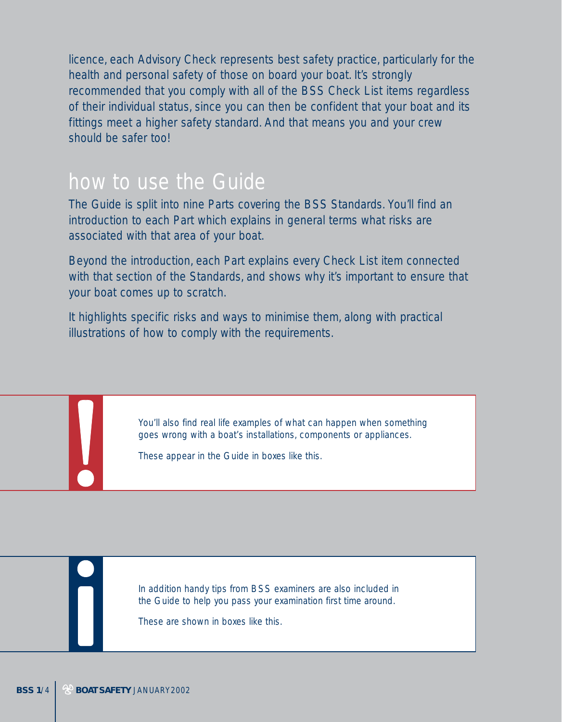licence, each Advisory Check represents best safety practice, particularly for the health and personal safety of those on board your boat. It's strongly recommended that you comply with all of the BSS Check List items regardless of their individual status, since you can then be confident that your boat and its fittings meet a higher safety standard. And that means you and your crew should be safer too!

# how to use the Guide

The Guide is split into nine Parts covering the BSS Standards. You'll find an introduction to each Part which explains in general terms what risks are associated with that area of your boat.

Beyond the introduction, each Part explains every Check List item connected with that section of the Standards, and shows why it's important to ensure that your boat comes up to scratch.

It highlights specific risks and ways to minimise them, along with practical illustrations of how to comply with the requirements.

> You'll also find real life examples of what can happen when something goes wrong with a boat's installations, components or appliances.

These appear in the Guide in boxes like this.

In addition handy tips from BSS examiners are also included in the Guide to help you pass your examination first time around.

These are shown in boxes like this.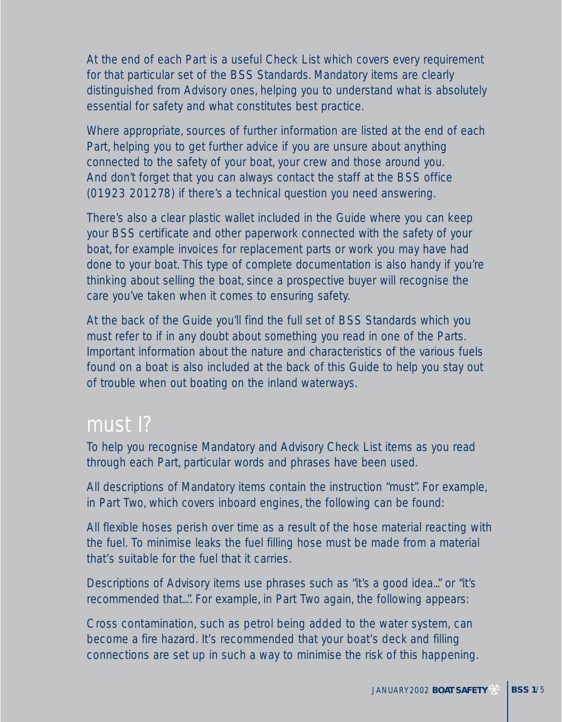At the end of each Part is a useful Check List which covers every requirement for that particular set of the BSS Standards. Mandatory items are clearly distinguished from Advisory ones, helping you to understand what is absolutely essential for safety and what constitutes best practice.

Where appropriate, sources of further information are listed at the end of each Part, helping you to get further advice if you are unsure about anything connected to the safety of your boat, your crew and those around you. And don't forget that you can always contact the staff at the BSS office (01923 201278) if there's a technical question you need answering.

There's also a clear plastic wallet included in the Guide where you can keep your BSS certificate and other paperwork connected with the safety of your boat, for example invoices for replacement parts or work you may have had done to your boat. This type of complete documentation is also handy if you're thinking about selling the boat, since a prospective buyer will recognise the care you've taken when it comes to ensuring safety.

At the back of the Guide you'll find the full set of BSS Standards which you must refer to if in any doubt about something you read in one of the Parts. Important information about the nature and characteristics of the various fuels found on a boat is also included at the back of this Guide to help you stay out of trouble when out boating on the inland waterways.

### must I?

To help you recognise Mandatory and Advisory Check List items as you read through each Part, particular words and phrases have been used.

All descriptions of Mandatory items contain the instruction "must". For example, in Part Two, which covers inboard engines, the following can be found:

All flexible hoses perish over time as a result of the hose material reacting with the fuel. To minimise leaks the fuel filling hose must be made from a material that's suitable for the fuel that it carries.

Descriptions of Advisory items use phrases such as "it's a good idea..." or "it's recommended that...". For example, in Part Two again, the following appears:

Cross contamination, such as petrol being added to the water system, can become a fire hazard. It's recommended that your boat's deck and filling connections are set up in such a way to minimise the risk of this happening.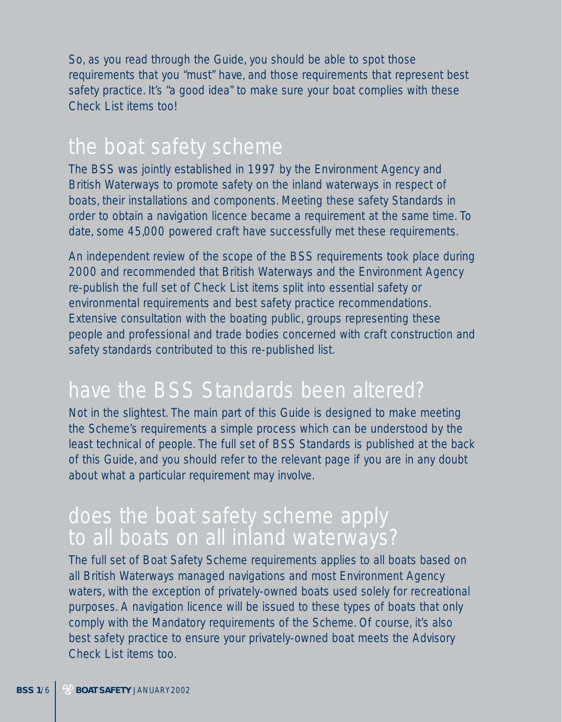So, as you read through the Guide, you should be able to spot those requirements that you "must" have, and those requirements that represent best safety practice. It's "a good idea" to make sure your boat complies with these Check List items too!

The BSS was jointly established in 1997 by the Environment Agency and British Waterways to promote safety on the inland waterways in respect of boats, their installations and components. Meeting these safety Standards in order to obtain a navigation licence became a requirement at the same time. To date, some 45,000 powered craft have successfully met these requirements.

An independent review of the scope of the BSS requirements took place during 2000 and recommended that British Waterways and the Environment Agency re-publish the full set of Check List items split into essential safety or environmental requirements and best safety practice recommendations. Extensive consultation with the boating public, groups representing these people and professional and trade bodies concerned with craft construction and safety standards contributed to this re-published list.

# have the BSS Standards been altered?

Not in the slightest. The main part of this Guide is designed to make meeting the Scheme's requirements a simple process which can be understood by the least technical of people. The full set of BSS Standards is published at the back of this Guide, and you should refer to the relevant page if you are in any doubt about what a particular requirement may involve.

The full set of Boat Safety Scheme requirements applies to all boats based on all British Waterways managed navigations and most Environment Agency waters, with the exception of privately-owned boats used solely for recreational purposes. A navigation licence will be issued to these types of boats that only comply with the Mandatory requirements of the Scheme. Of course, it's also best safety practice to ensure your privately-owned boat meets the Advisory Check List items too.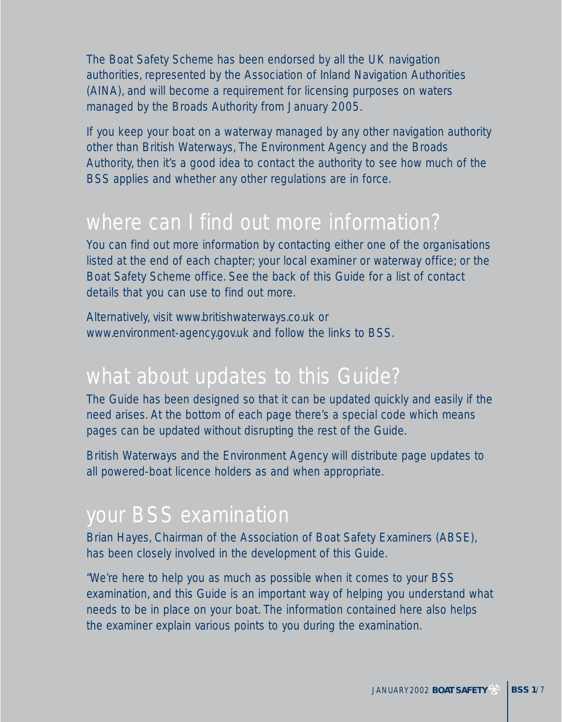The Boat Safety Scheme has been endorsed by all the UK navigation authorities, represented by the Association of Inland Navigation Authorities (AINA), and will become a requirement for licensing purposes on waters managed by the Broads Authority from January 2005.

If you keep your boat on a waterway managed by any other navigation authority other than British Waterways, The Environment Agency and the Broads Authority, then it's a good idea to contact the authority to see how much of the BSS applies and whether any other regulations are in force.

You can find out more information by contacting either one of the organisations listed at the end of each chapter; your local examiner or waterway office; or the Boat Safety Scheme office. See the back of this Guide for a list of contact details that you can use to find out more.

Alternatively, visit www.britishwaterways.co.uk or www.environment-agency.gov.uk and follow the links to BSS.

The Guide has been designed so that it can be updated quickly and easily if the need arises. At the bottom of each page there's a special code which means pages can be updated without disrupting the rest of the Guide.

British Waterways and the Environment Agency will distribute page updates to all powered-boat licence holders as and when appropriate.

Brian Hayes, Chairman of the Association of Boat Safety Examiners (ABSE), has been closely involved in the development of this Guide.

"We're here to help you as much as possible when it comes to your BSS examination, and this Guide is an important way of helping you understand what needs to be in place on your boat. The information contained here also helps the examiner explain various points to you during the examination.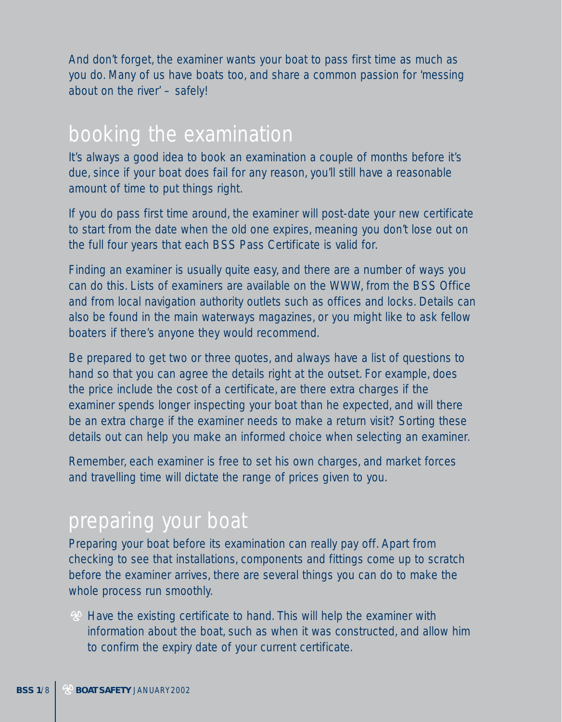And don't forget, the examiner wants your boat to pass first time as much as you do. Many of us have boats too, and share a common passion for 'messing about on the river' – safely!

It's always a good idea to book an examination a couple of months before it's due, since if your boat does fail for any reason, you'll still have a reasonable amount of time to put things right.

If you do pass first time around, the examiner will post-date your new certificate to start from the date when the old one expires, meaning you don't lose out on the full four years that each BSS Pass Certificate is valid for.

Finding an examiner is usually quite easy, and there are a number of ways you can do this. Lists of examiners are available on the WWW, from the BSS Office and from local navigation authority outlets such as offices and locks. Details can also be found in the main waterways magazines, or you might like to ask fellow boaters if there's anyone they would recommend.

Be prepared to get two or three quotes, and always have a list of questions to hand so that you can agree the details right at the outset. For example, does the price include the cost of a certificate, are there extra charges if the examiner spends longer inspecting your boat than he expected, and will there be an extra charge if the examiner needs to make a return visit? Sorting these details out can help you make an informed choice when selecting an examiner.

Remember, each examiner is free to set his own charges, and market forces and travelling time will dictate the range of prices given to you.

Preparing your boat before its examination can really pay off. Apart from checking to see that installations, components and fittings come up to scratch before the examiner arrives, there are several things you can do to make the whole process run smoothly.

 $\mathcal{P}$  Have the existing certificate to hand. This will help the examiner with information about the boat, such as when it was constructed, and allow him to confirm the expiry date of your current certificate.